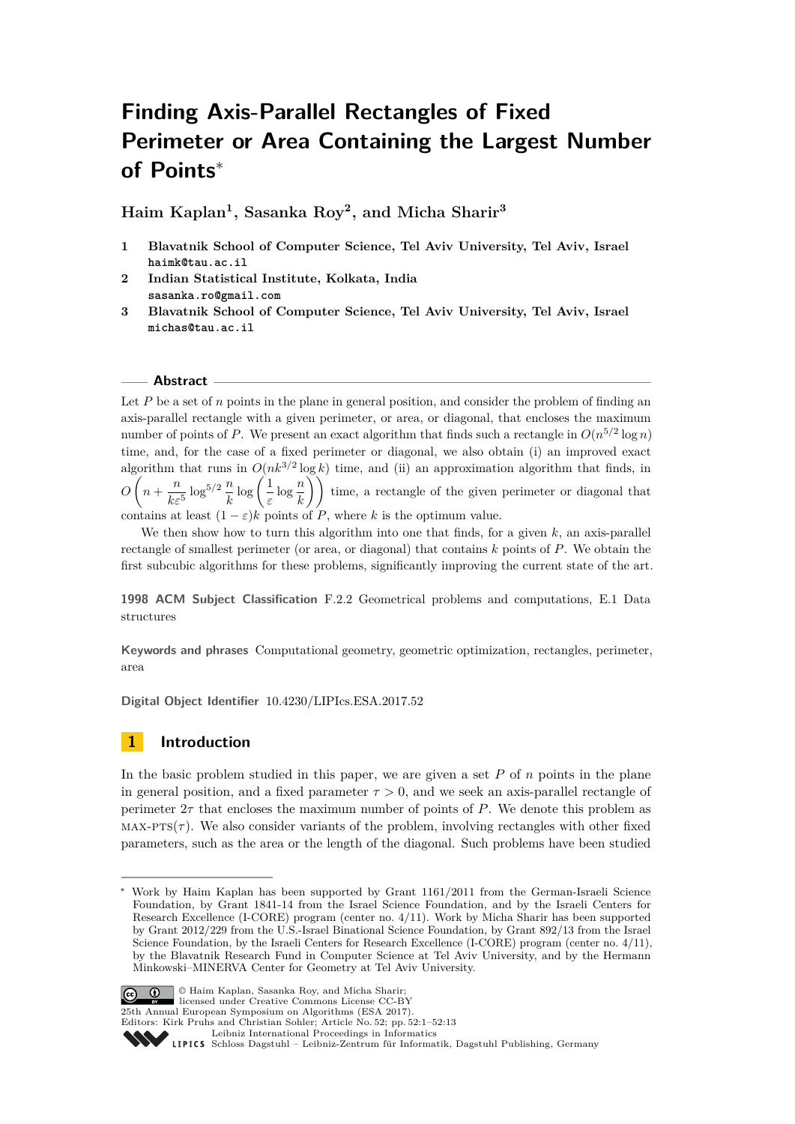# **Finding Axis-Parallel Rectangles of Fixed Perimeter or Area Containing the Largest Number of Points**<sup>∗</sup>

**Haim Kaplan<sup>1</sup> , Sasanka Roy<sup>2</sup> , and Micha Sharir<sup>3</sup>**

- **1 Blavatnik School of Computer Science, Tel Aviv University, Tel Aviv, Israel haimk@tau.ac.il**
- **2 Indian Statistical Institute, Kolkata, India sasanka.ro@gmail.com**
- **3 Blavatnik School of Computer Science, Tel Aviv University, Tel Aviv, Israel michas@tau.ac.il**

### **Abstract**

Let *P* be a set of *n* points in the plane in general position, and consider the problem of finding an axis-parallel rectangle with a given perimeter, or area, or diagonal, that encloses the maximum number of points of *P*. We present an exact algorithm that finds such a rectangle in  $O(n^{5/2} \log n)$ time, and, for the case of a fixed perimeter or diagonal, we also obtain (i) an improved exact algorithm that runs in  $O(nk^{3/2} \log k)$  time, and (ii) an approximation algorithm that finds, in  $O\left(n+\frac{n}{l}\right)$  $\frac{n}{k\varepsilon^5}\log^{5/2}\frac{n}{k}\log\left(\frac{1}{\varepsilon}\right)$  $\left(\frac{1}{\varepsilon}\log\frac{n}{k}\right)$  time, a rectangle of the given perimeter or diagonal that contains at least  $(1 - \varepsilon)k$  points of *P*, where *k* is the optimum value.

We then show how to turn this algorithm into one that finds, for a given *k*, an axis-parallel

rectangle of smallest perimeter (or area, or diagonal) that contains *k* points of *P*. We obtain the first subcubic algorithms for these problems, significantly improving the current state of the art.

**1998 ACM Subject Classification** F.2.2 Geometrical problems and computations, E.1 Data structures

**Keywords and phrases** Computational geometry, geometric optimization, rectangles, perimeter, area

**Digital Object Identifier** [10.4230/LIPIcs.ESA.2017.52](http://dx.doi.org/10.4230/LIPIcs.ESA.2017.52)

# **1 Introduction**

In the basic problem studied in this paper, we are given a set *P* of *n* points in the plane in general position, and a fixed parameter  $\tau > 0$ , and we seek an axis-parallel rectangle of perimeter 2*τ* that encloses the maximum number of points of *P*. We denote this problem as  $MAX-PTS(\tau)$ . We also consider variants of the problem, involving rectangles with other fixed parameters, such as the area or the length of the diagonal. Such problems have been studied

<sup>∗</sup> Work by Haim Kaplan has been supported by Grant 1161/2011 from the German-Israeli Science Foundation, by Grant 1841-14 from the Israel Science Foundation, and by the Israeli Centers for Research Excellence (I-CORE) program (center no. 4/11). Work by Micha Sharir has been supported by Grant 2012/229 from the U.S.-Israel Binational Science Foundation, by Grant 892/13 from the Israel Science Foundation, by the Israeli Centers for Research Excellence (I-CORE) program (center no. 4/11), by the Blavatnik Research Fund in Computer Science at Tel Aviv University, and by the Hermann Minkowski–MINERVA Center for Geometry at Tel Aviv University.



© Haim Kaplan, Sasanka Roy, and Micha Sharir; licensed under Creative Commons License CC-BY 25th Annual European Symposium on Algorithms (ESA 2017).

Editors: Kirk Pruhs and Christian Sohler; Article No. 52; pp. 52:1–52[:13](#page-12-0) [Leibniz International Proceedings in Informatics](http://www.dagstuhl.de/lipics/)

Leibniz international Froceedings in missimosischer Magstuhl Publishing, Germany<br>LIPICS [Schloss Dagstuhl – Leibniz-Zentrum für Informatik, Dagstuhl Publishing, Germany](http://www.dagstuhl.de)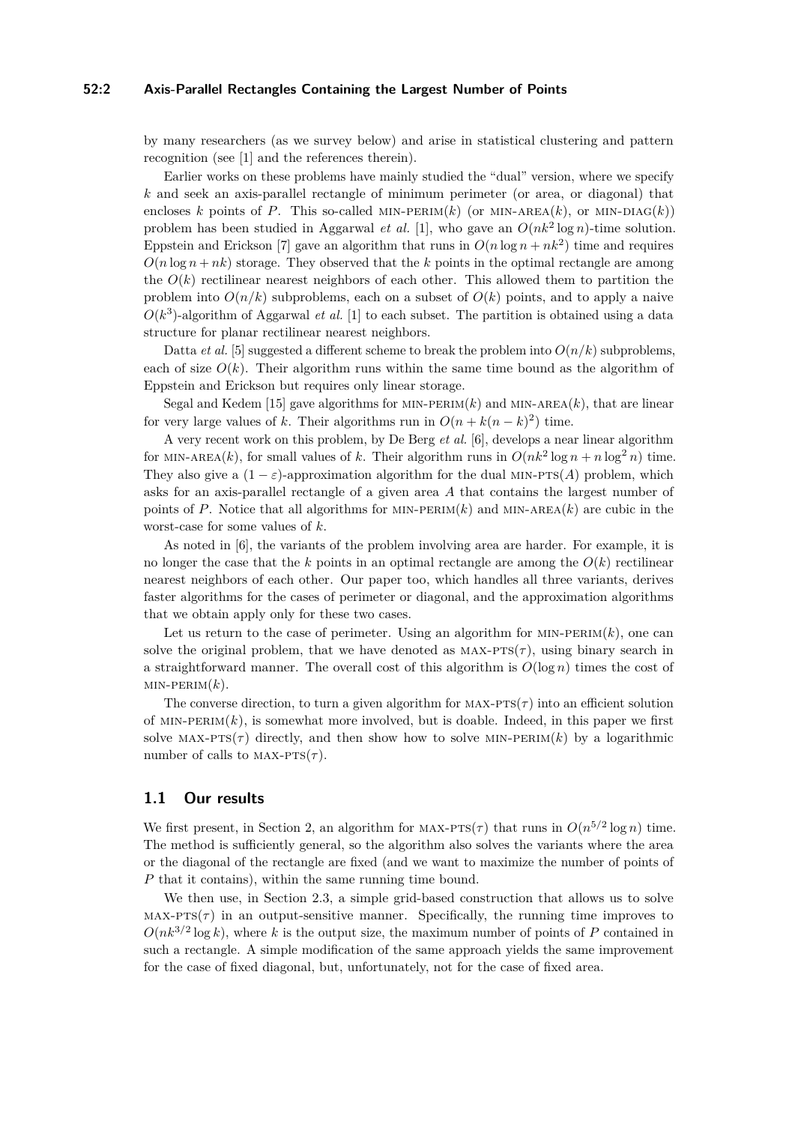# **52:2 Axis-Parallel Rectangles Containing the Largest Number of Points**

by many researchers (as we survey below) and arise in statistical clustering and pattern recognition (see [\[1\]](#page-12-1) and the references therein).

Earlier works on these problems have mainly studied the "dual" version, where we specify *k* and seek an axis-parallel rectangle of minimum perimeter (or area, or diagonal) that encloses *k* points of *P*. This so-called MIN-PERIM(*k*) (or MIN-AREA(*k*), or MIN-DIAG(*k*)) problem has been studied in Aggarwal *et al.* [\[1\]](#page-12-1), who gave an *O*(*nk*<sup>2</sup> log *n*)-time solution. Eppstein and Erickson [\[7\]](#page-12-2) gave an algorithm that runs in  $O(n \log n + nk^2)$  time and requires  $O(n \log n + nk)$  storage. They observed that the *k* points in the optimal rectangle are among the  $O(k)$  rectilinear nearest neighbors of each other. This allowed them to partition the problem into  $O(n/k)$  subproblems, each on a subset of  $O(k)$  points, and to apply a naive  $O(k^3)$ -algorithm of Aggarwal *et al.* [\[1\]](#page-12-1) to each subset. The partition is obtained using a data structure for planar rectilinear nearest neighbors.

Datta *et al.* [\[5\]](#page-12-3) suggested a different scheme to break the problem into  $O(n/k)$  subproblems, each of size  $O(k)$ . Their algorithm runs within the same time bound as the algorithm of Eppstein and Erickson but requires only linear storage.

Segal and Kedem [\[15\]](#page-12-4) gave algorithms for MIN-PERIM $(k)$  and MIN-AREA $(k)$ , that are linear for very large values of *k*. Their algorithms run in  $O(n + k(n - k)^2)$  time.

A very recent work on this problem, by De Berg *et al.* [\[6\]](#page-12-5), develops a near linear algorithm for MIN-AREA(*k*), for small values of *k*. Their algorithm runs in  $O(nk^2 \log n + n \log^2 n)$  time. They also give a  $(1 - \varepsilon)$ -approximation algorithm for the dual MIN-PTS(*A*) problem, which asks for an axis-parallel rectangle of a given area *A* that contains the largest number of points of *P*. Notice that all algorithms for MIN-PERIM $(k)$  and MIN-AREA $(k)$  are cubic in the worst-case for some values of *k*.

As noted in [\[6\]](#page-12-5), the variants of the problem involving area are harder. For example, it is no longer the case that the  $k$  points in an optimal rectangle are among the  $O(k)$  rectilinear nearest neighbors of each other. Our paper too, which handles all three variants, derives faster algorithms for the cases of perimeter or diagonal, and the approximation algorithms that we obtain apply only for these two cases.

Let us return to the case of perimeter. Using an algorithm for  $MIN-PERIM(k)$ , one can solve the original problem, that we have denoted as  $MAX-ATS(\tau)$ , using binary search in a straightforward manner. The overall cost of this algorithm is  $O(\log n)$  times the cost of  $MIN-PERIM(k)$ .

The converse direction, to turn a given algorithm for  $MAX-PTS(\tau)$  into an efficient solution of  $MIN-PERIM(k)$ , is somewhat more involved, but is doable. Indeed, in this paper we first solve MAX-PTS( $\tau$ ) directly, and then show how to solve MIN-PERIM( $k$ ) by a logarithmic number of calls to  $MAX-PTS(\tau)$ .

## **1.1 Our results**

We first present, in Section [2,](#page-2-0) an algorithm for MAX-PTS( $\tau$ ) that runs in  $O(n^{5/2} \log n)$  time. The method is sufficiently general, so the algorithm also solves the variants where the area or the diagonal of the rectangle are fixed (and we want to maximize the number of points of *P* that it contains), within the same running time bound.

We then use, in Section [2.3,](#page-8-0) a simple grid-based construction that allows us to solve  $MAX-PTS(\tau)$  in an output-sensitive manner. Specifically, the running time improves to  $O(nk^{3/2}\log k)$ , where *k* is the output size, the maximum number of points of *P* contained in such a rectangle. A simple modification of the same approach yields the same improvement for the case of fixed diagonal, but, unfortunately, not for the case of fixed area.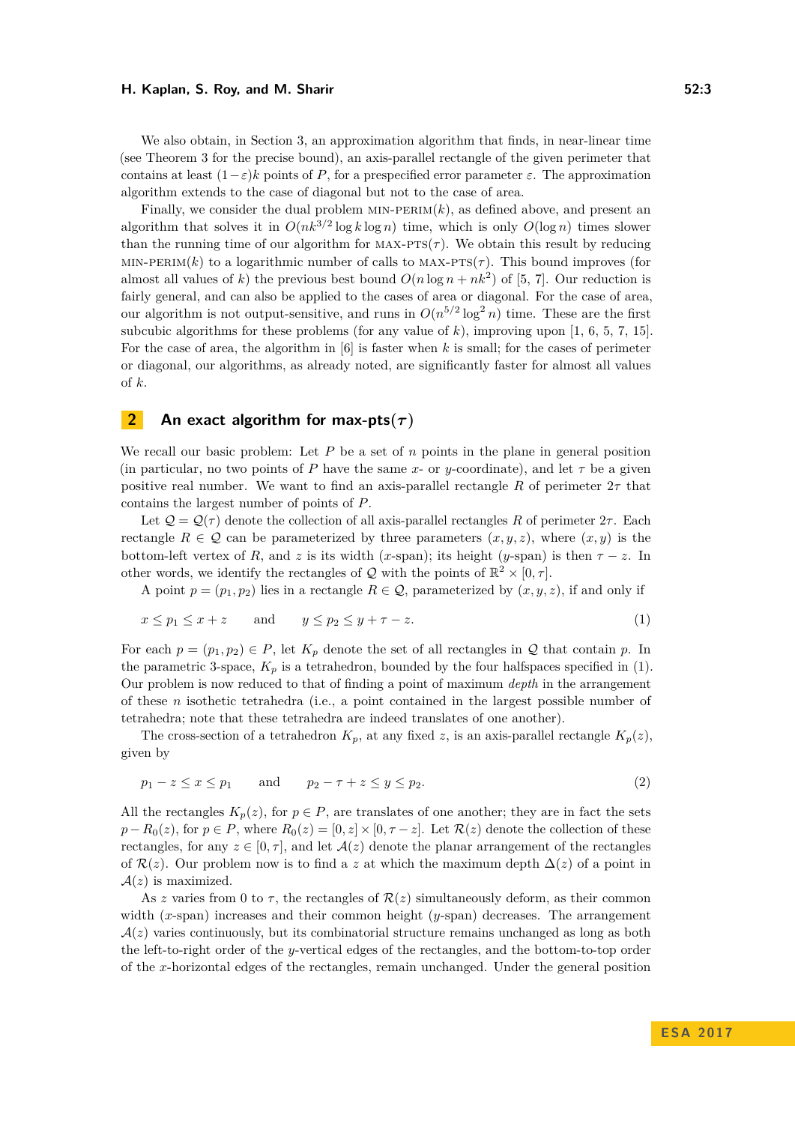We also obtain, in Section [3,](#page-9-0) an approximation algorithm that finds, in near-linear time (see Theorem [3](#page-10-0) for the precise bound), an axis-parallel rectangle of the given perimeter that contains at least  $(1-\varepsilon)k$  points of *P*, for a prespecified error parameter  $\varepsilon$ . The approximation algorithm extends to the case of diagonal but not to the case of area.

Finally, we consider the dual problem  $MIN-PERIM(k)$ , as defined above, and present an algorithm that solves it in  $O(nk^{3/2} \log k \log n)$  time, which is only  $O(\log n)$  times slower than the running time of our algorithm for  $MAX-PTS(\tau)$ . We obtain this result by reducing MIN-PERIM(k) to a logarithmic number of calls to MAX- $PTS(\tau)$ . This bound improves (for almost all values of *k*) the previous best bound  $O(n \log n + nk^2)$  of [\[5,](#page-12-3) [7\]](#page-12-2). Our reduction is fairly general, and can also be applied to the cases of area or diagonal. For the case of area, our algorithm is not output-sensitive, and runs in  $O(n^{5/2} \log^2 n)$  time. These are the first subcubic algorithms for these problems (for any value of  $k$ ), improving upon [\[1,](#page-12-1) [6,](#page-12-5) [5,](#page-12-3) [7,](#page-12-2) [15\]](#page-12-4). For the case of area, the algorithm in [\[6\]](#page-12-5) is faster when *k* is small; for the cases of perimeter or diagonal, our algorithms, as already noted, are significantly faster for almost all values of *k*.

# <span id="page-2-0"></span>**2 An exact algorithm for max-pts** $(\tau)$

We recall our basic problem: Let *P* be a set of *n* points in the plane in general position (in particular, no two points of *P* have the same *x*- or *y*-coordinate), and let  $\tau$  be a given positive real number. We want to find an axis-parallel rectangle R of perimeter  $2\tau$  that contains the largest number of points of *P*.

Let  $Q = Q(\tau)$  denote the collection of all axis-parallel rectangles R of perimeter  $2\tau$ . Each rectangle  $R \in \mathcal{Q}$  can be parameterized by three parameters  $(x, y, z)$ , where  $(x, y)$  is the bottom-left vertex of *R*, and *z* is its width (*x*-span); its height (*y*-span) is then  $\tau$  − *z*. In other words, we identify the rectangles of  $\mathcal{Q}$  with the points of  $\mathbb{R}^2 \times [0, \tau]$ .

A point  $p = (p_1, p_2)$  lies in a rectangle  $R \in \mathcal{Q}$ , parameterized by  $(x, y, z)$ , if and only if

<span id="page-2-1"></span>
$$
x \le p_1 \le x + z \qquad \text{and} \qquad y \le p_2 \le y + \tau - z. \tag{1}
$$

For each  $p = (p_1, p_2) \in P$ , let  $K_p$  denote the set of all rectangles in Q that contain p. In the parametric 3-space,  $K_p$  is a tetrahedron, bounded by the four halfspaces specified in [\(1\)](#page-2-1). Our problem is now reduced to that of finding a point of maximum *depth* in the arrangement of these *n* isothetic tetrahedra (i.e., a point contained in the largest possible number of tetrahedra; note that these tetrahedra are indeed translates of one another).

The cross-section of a tetrahedron  $K_p$ , at any fixed *z*, is an axis-parallel rectangle  $K_p(z)$ , given by

<span id="page-2-2"></span>
$$
p_1 - z \le x \le p_1 \qquad \text{and} \qquad p_2 - \tau + z \le y \le p_2. \tag{2}
$$

All the rectangles  $K_p(z)$ , for  $p \in P$ , are translates of one another; they are in fact the sets  $p - R_0(z)$ , for  $p \in P$ , where  $R_0(z) = [0, z] \times [0, \tau - z]$ . Let  $\mathcal{R}(z)$  denote the collection of these rectangles, for any  $z \in [0, \tau]$ , and let  $\mathcal{A}(z)$  denote the planar arrangement of the rectangles of  $\mathcal{R}(z)$ . Our problem now is to find a z at which the maximum depth  $\Delta(z)$  of a point in  $A(z)$  is maximized.

As *z* varies from 0 to  $\tau$ , the rectangles of  $\mathcal{R}(z)$  simultaneously deform, as their common width (*x*-span) increases and their common height (*y*-span) decreases. The arrangement  $\mathcal{A}(z)$  varies continuously, but its combinatorial structure remains unchanged as long as both the left-to-right order of the *y*-vertical edges of the rectangles, and the bottom-to-top order of the *x*-horizontal edges of the rectangles, remain unchanged. Under the general position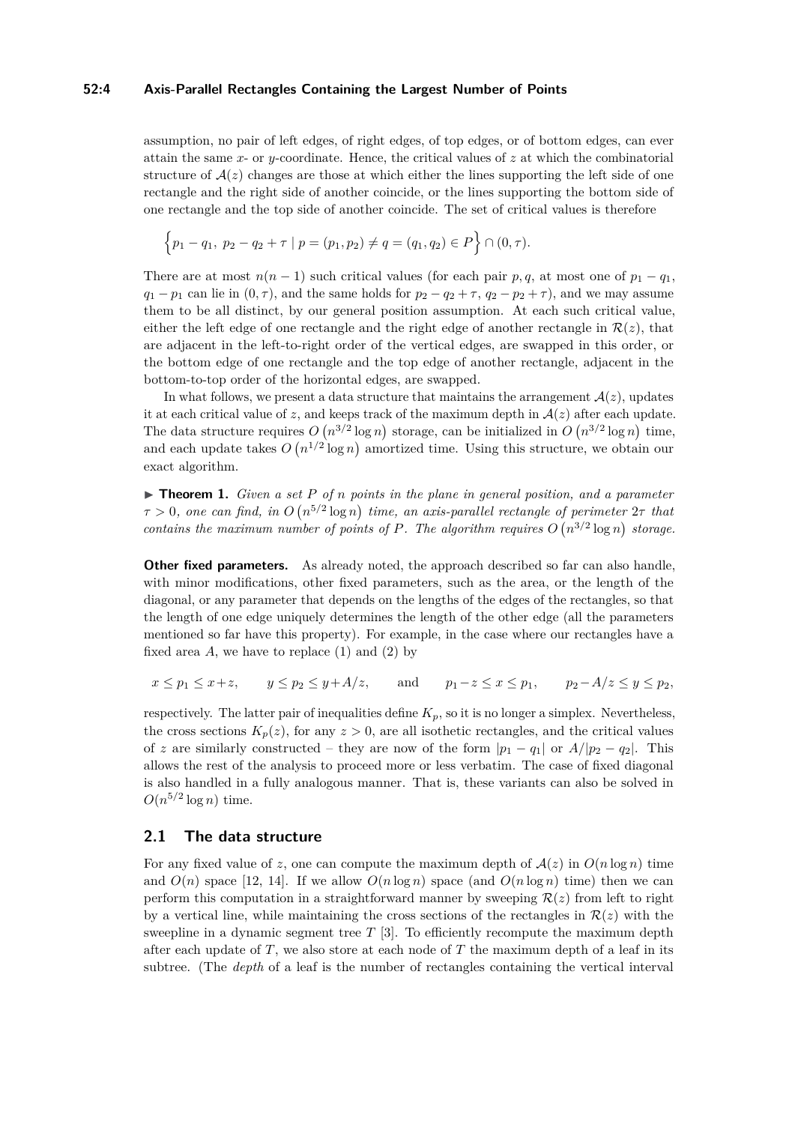# **52:4 Axis-Parallel Rectangles Containing the Largest Number of Points**

assumption, no pair of left edges, of right edges, of top edges, or of bottom edges, can ever attain the same *x*- or *y*-coordinate. Hence, the critical values of *z* at which the combinatorial structure of  $A(z)$  changes are those at which either the lines supporting the left side of one rectangle and the right side of another coincide, or the lines supporting the bottom side of one rectangle and the top side of another coincide. The set of critical values is therefore

$$
\{p_1 - q_1, p_2 - q_2 + \tau \mid p = (p_1, p_2) \neq q = (q_1, q_2) \in P\} \cap (0, \tau).
$$

There are at most  $n(n-1)$  such critical values (for each pair  $p, q$ , at most one of  $p_1 - q_1$ ,  $q_1 - p_1$  can lie in  $(0, \tau)$ , and the same holds for  $p_2 - q_2 + \tau$ ,  $q_2 - p_2 + \tau$ ), and we may assume them to be all distinct, by our general position assumption. At each such critical value, either the left edge of one rectangle and the right edge of another rectangle in  $\mathcal{R}(z)$ , that are adjacent in the left-to-right order of the vertical edges, are swapped in this order, or the bottom edge of one rectangle and the top edge of another rectangle, adjacent in the bottom-to-top order of the horizontal edges, are swapped.

In what follows, we present a data structure that maintains the arrangement  $\mathcal{A}(z)$ , updates it at each critical value of *z*, and keeps track of the maximum depth in  $\mathcal{A}(z)$  after each update. The data structure requires  $O(n^{3/2} \log n)$  storage, can be initialized in  $O(n^{3/2} \log n)$  time, and each update takes  $O(n^{1/2} \log n)$  amortized time. Using this structure, we obtain our exact algorithm.

<span id="page-3-0"></span> $\triangleright$  **Theorem 1.** *Given a set P of n points in the plane in general position, and a parameter*  $\tau > 0$ , one can find, in  $O(n^{5/2} \log n)$  time, an axis-parallel rectangle of perimeter  $2\tau$  that *contains the maximum number of points of P. The algorithm requires*  $O(n^{3/2} \log n)$  storage.

**Other fixed parameters.** As already noted, the approach described so far can also handle, with minor modifications, other fixed parameters, such as the area, or the length of the diagonal, or any parameter that depends on the lengths of the edges of the rectangles, so that the length of one edge uniquely determines the length of the other edge (all the parameters mentioned so far have this property). For example, in the case where our rectangles have a fixed area  $A$ , we have to replace  $(1)$  and  $(2)$  by

$$
x \le p_1 \le x+z
$$
,  $y \le p_2 \le y+A/z$ , and  $p_1-z \le x \le p_1$ ,  $p_2-A/z \le y \le p_2$ ,

respectively. The latter pair of inequalities define  $K_p$ , so it is no longer a simplex. Nevertheless, the cross sections  $K_p(z)$ , for any  $z > 0$ , are all isothetic rectangles, and the critical values of *z* are similarly constructed – they are now of the form  $|p_1 - q_1|$  or  $A/|p_2 - q_2|$ . This allows the rest of the analysis to proceed more or less verbatim. The case of fixed diagonal is also handled in a fully analogous manner. That is, these variants can also be solved in  $O(n^{5/2} \log n)$  time.

# **2.1 The data structure**

For any fixed value of *z*, one can compute the maximum depth of  $A(z)$  in  $O(n \log n)$  time and  $O(n)$  space [\[12,](#page-12-6) [14\]](#page-12-7). If we allow  $O(n \log n)$  space (and  $O(n \log n)$  time) then we can perform this computation in a straightforward manner by sweeping  $\mathcal{R}(z)$  from left to right by a vertical line, while maintaining the cross sections of the rectangles in  $\mathcal{R}(z)$  with the sweepline in a dynamic segment tree *T* [\[3\]](#page-12-8). To efficiently recompute the maximum depth after each update of *T*, we also store at each node of *T* the maximum depth of a leaf in its subtree. (The *depth* of a leaf is the number of rectangles containing the vertical interval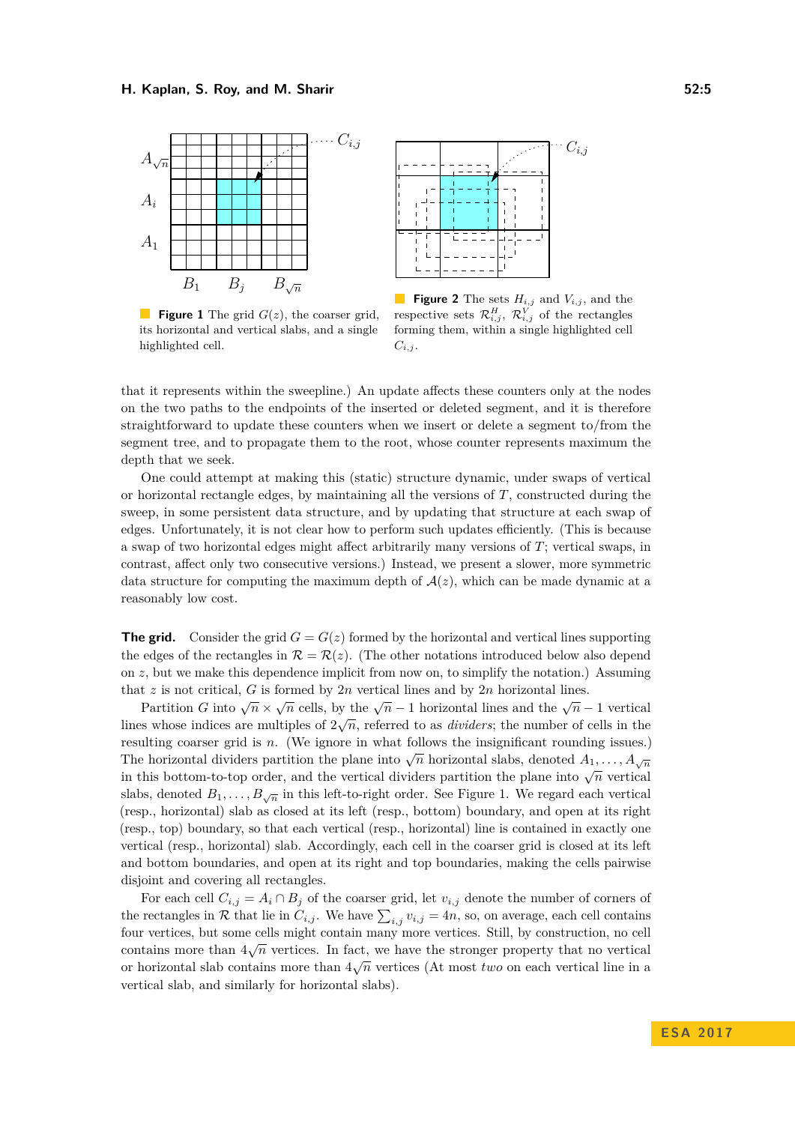<span id="page-4-0"></span>

**Figure 1** The grid  $G(z)$ , the coarser grid, its horizontal and vertical slabs, and a single highlighted cell.



**Figure 2** The sets  $H_{i,j}$  and  $V_{i,j}$ , and the respective sets  $\mathcal{R}_{i,j}^H$ ,  $\mathcal{R}_{i,j}^V$  of the rectangles forming them, within a single highlighted cell  $C_{i,j}$ .

that it represents within the sweepline.) An update affects these counters only at the nodes on the two paths to the endpoints of the inserted or deleted segment, and it is therefore straightforward to update these counters when we insert or delete a segment to/from the segment tree, and to propagate them to the root, whose counter represents maximum the depth that we seek.

One could attempt at making this (static) structure dynamic, under swaps of vertical or horizontal rectangle edges, by maintaining all the versions of *T*, constructed during the sweep, in some persistent data structure, and by updating that structure at each swap of edges. Unfortunately, it is not clear how to perform such updates efficiently. (This is because a swap of two horizontal edges might affect arbitrarily many versions of *T*; vertical swaps, in contrast, affect only two consecutive versions.) Instead, we present a slower, more symmetric data structure for computing the maximum depth of  $A(z)$ , which can be made dynamic at a reasonably low cost.

**The grid.** Consider the grid  $G = G(z)$  formed by the horizontal and vertical lines supporting the edges of the rectangles in  $\mathcal{R} = \mathcal{R}(z)$ . (The other notations introduced below also depend on *z*, but we make this dependence implicit from now on, to simplify the notation.) Assuming that  $z$  is not critical,  $G$  is formed by  $2n$  vertical lines and by  $2n$  horizontal lines.

Partition *G* into  $\sqrt{n} \times \sqrt{n}$  cells, by the  $\sqrt{n} - 1$  horizontal lines and the  $\sqrt{n} - 1$  vertical I attitude of  $\sqrt{n} \times \sqrt{n}$  cens, by the  $\sqrt{n-1}$  horizontal lines and the  $\sqrt{n-1}$  vertical<br>lines whose indices are multiples of  $2\sqrt{n}$ , referred to as *dividers*; the number of cells in the resulting coarser grid is *n*. (We ignore in what follows the insignificant rounding issues.) The horizontal dividers partition the plane into  $\sqrt{n}$  horizontal slabs, denoted  $A_1, \ldots, A_{\sqrt{n}}$ in this bottom-to-top order, and the vertical dividers partition the plane into  $\sqrt{n}$  vertical slabs, denoted  $B_1, \ldots, B_{\sqrt{n}}$  in this left-to-right order. See Figure [1.](#page-4-0) We regard each vertical (resp., horizontal) slab as closed at its left (resp., bottom) boundary, and open at its right (resp., top) boundary, so that each vertical (resp., horizontal) line is contained in exactly one vertical (resp., horizontal) slab. Accordingly, each cell in the coarser grid is closed at its left and bottom boundaries, and open at its right and top boundaries, making the cells pairwise disjoint and covering all rectangles.

For each cell  $C_{i,j} = A_i \cap B_j$  of the coarser grid, let  $v_{i,j}$  denote the number of corners of the rectangles in  $R$  that lie in  $C_{i,j}$ . We have  $\sum_{i,j} v_{i,j} = 4n$ , so, on average, each cell contains four vertices, but some cells might contain many more vertices. Still, by construction, no cell √ contains more than  $4\sqrt{n}$  vertices. In fact, we have the stronger property that no vertical or horizontal slab contains more than  $4\sqrt{n}$  vertices (At most *two* on each vertical line in a vertical slab, and similarly for horizontal slabs).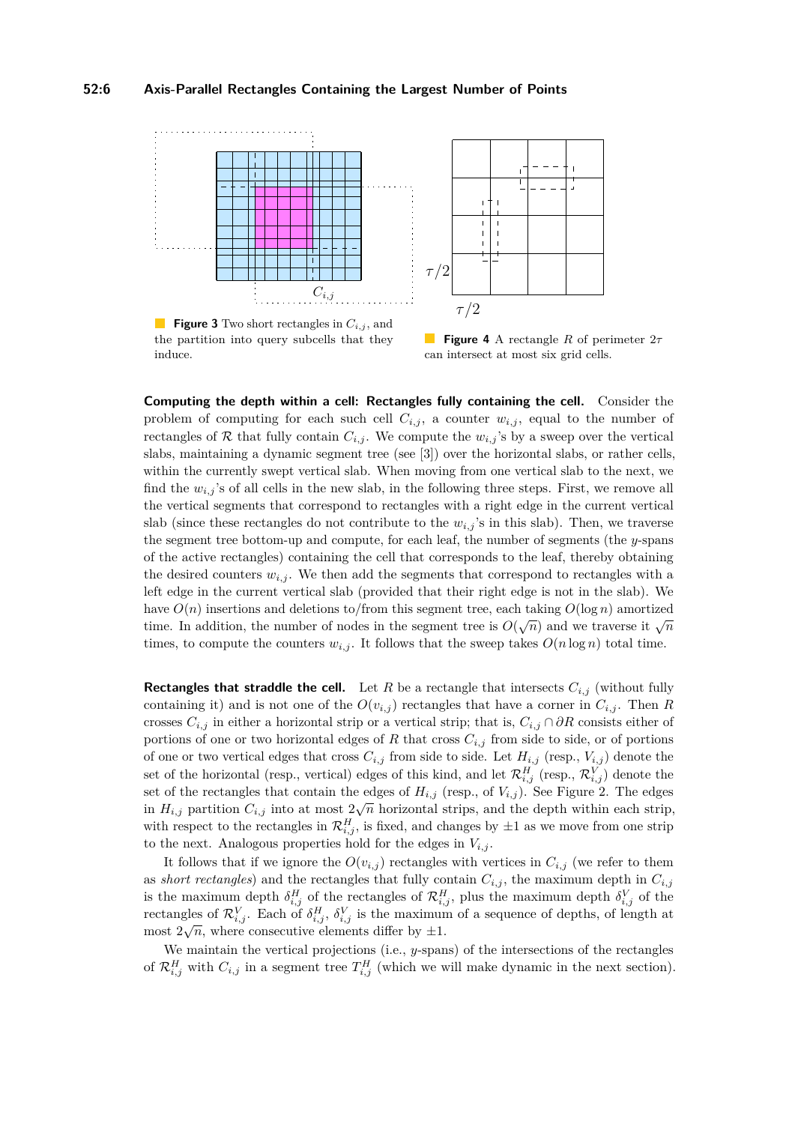<span id="page-5-0"></span>



**Figure 3** Two short rectangles in *Ci,j* , and the partition into query subcells that they induce.

**Figure 4** A rectangle *R* of perimeter 2*τ* can intersect at most six grid cells.

**Computing the depth within a cell: Rectangles fully containing the cell.** Consider the problem of computing for each such cell  $C_{i,j}$ , a counter  $w_{i,j}$ , equal to the number of rectangles of R that fully contain  $C_{i,j}$ . We compute the  $w_{i,j}$ 's by a sweep over the vertical slabs, maintaining a dynamic segment tree (see [\[3\]](#page-12-8)) over the horizontal slabs, or rather cells, within the currently swept vertical slab. When moving from one vertical slab to the next, we find the  $w_{i,j}$ 's of all cells in the new slab, in the following three steps. First, we remove all the vertical segments that correspond to rectangles with a right edge in the current vertical slab (since these rectangles do not contribute to the  $w_{i,j}$ 's in this slab). Then, we traverse the segment tree bottom-up and compute, for each leaf, the number of segments (the *y*-spans of the active rectangles) containing the cell that corresponds to the leaf, thereby obtaining the desired counters  $w_{i,j}$ . We then add the segments that correspond to rectangles with a left edge in the current vertical slab (provided that their right edge is not in the slab). We have  $O(n)$  insertions and deletions to/from this segment tree, each taking  $O(\log n)$  amortized time. In addition, the number of nodes in the segment tree is  $O(\sqrt{n})$  and we traverse it  $\sqrt{n}$ times, to compute the counters  $w_{i,j}$ . It follows that the sweep takes  $O(n \log n)$  total time.

**Rectangles that straddle the cell.** Let *R* be a rectangle that intersects  $C_{i,j}$  (without fully containing it) and is not one of the  $O(v_{i,j})$  rectangles that have a corner in  $C_{i,j}$ . Then *R* crosses  $C_{i,j}$  in either a horizontal strip or a vertical strip; that is,  $C_{i,j} \cap \partial R$  consists either of portions of one or two horizontal edges of  $R$  that cross  $C_{i,j}$  from side to side, or of portions of one or two vertical edges that cross  $C_{i,j}$  from side to side. Let  $H_{i,j}$  (resp.,  $V_{i,j}$ ) denote the set of the horizontal (resp., vertical) edges of this kind, and let  $\mathcal{R}_{i,j}^H$  (resp.,  $\mathcal{R}_{i,j}^V$ ) denote the set of the rectangles that contain the edges of  $H_{i,j}$  (resp., of  $V_{i,j}$ ). See Figure [2.](#page-4-0) The edges in  $H_{i,j}$  partition  $C_{i,j}$  into at most  $2\sqrt{n}$  horizontal strips, and the depth within each strip, with respect to the rectangles in  $\mathcal{R}_{i,j}^H$ , is fixed, and changes by  $\pm 1$  as we move from one strip to the next. Analogous properties hold for the edges in  $V_{i,j}$ .

It follows that if we ignore the  $O(v_{i,j})$  rectangles with vertices in  $C_{i,j}$  (we refer to them as *short rectangles*) and the rectangles that fully contain  $C_{i,j}$ , the maximum depth in  $C_{i,j}$ is the maximum depth  $\delta_{i,j}^H$  of the rectangles of  $\mathcal{R}_{i,j}^H$ , plus the maximum depth  $\delta_{i,j}^V$  of the rectangles of  $\mathcal{R}_{i,j}^V$ . Each of  $\delta_{i,j}^H$ ,  $\delta_{i,j}^V$  is the maximum of a sequence of depths, of length at most  $2\sqrt{n}$ , where consecutive elements differ by  $\pm 1$ .

We maintain the vertical projections (i.e., *y*-spans) of the intersections of the rectangles of  $\mathcal{R}_{i,j}^H$  with  $C_{i,j}$  in a segment tree  $T_{i,j}^H$  (which we will make dynamic in the next section).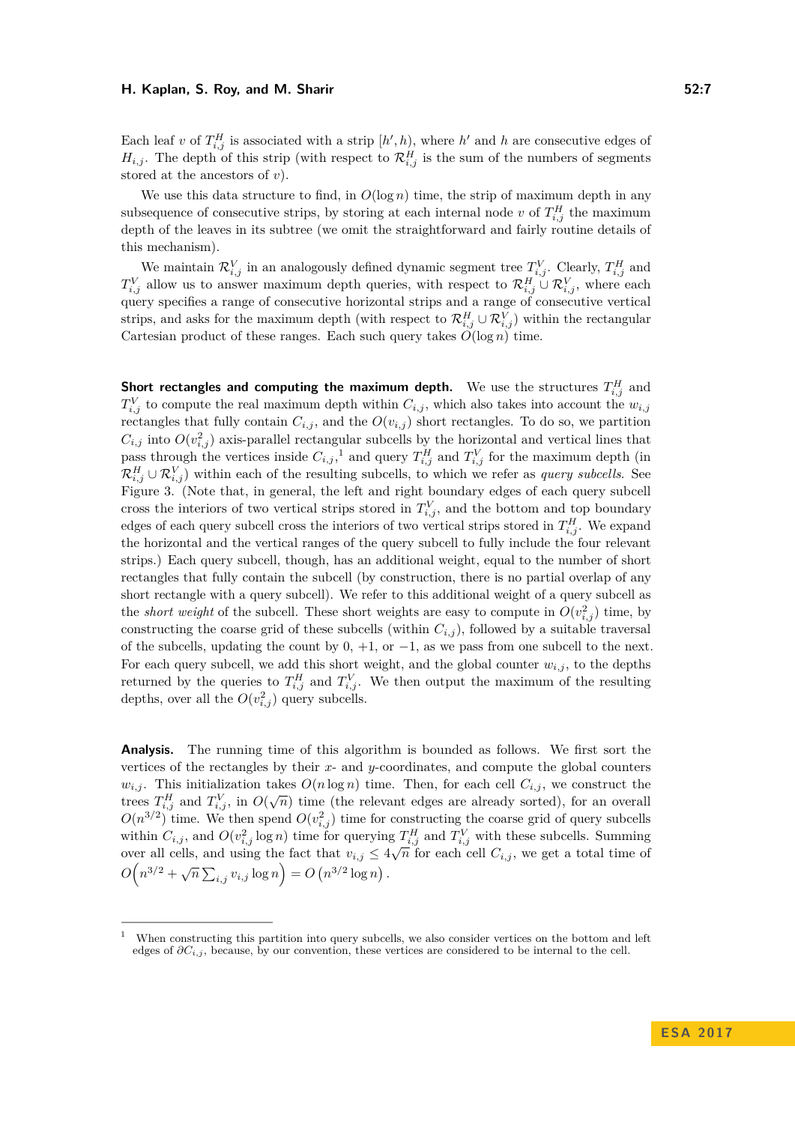Each leaf *v* of  $T_{i,j}^H$  is associated with a strip  $[h', h)$ , where  $h'$  and  $h$  are consecutive edges of  $H_{i,j}$ . The depth of this strip (with respect to  $\mathcal{R}_{i,j}^H$  is the sum of the numbers of segments stored at the ancestors of *v*).

We use this data structure to find, in  $O(\log n)$  time, the strip of maximum depth in any subsequence of consecutive strips, by storing at each internal node *v* of  $T_{i,j}^H$  the maximum depth of the leaves in its subtree (we omit the straightforward and fairly routine details of this mechanism).

We maintain  $\mathcal{R}_{i,j}^V$  in an analogously defined dynamic segment tree  $T_{i,j}^V$ . Clearly,  $T_{i,j}^H$  and  $T_{i,j}^V$  allow us to answer maximum depth queries, with respect to  $\mathcal{R}_{i,j}^H \cup \mathcal{R}_{i,j}^V$ , where each query specifies a range of consecutive horizontal strips and a range of consecutive vertical strips, and asks for the maximum depth (with respect to  $\mathcal{R}_{i,j}^H \cup \mathcal{R}_{i,j}^V$ ) within the rectangular Cartesian product of these ranges. Each such query takes  $O(\log n)$  time.

**Short rectangles and computing the maximum depth.** We use the structures  $T_{i,j}^H$  and  $T_{i,j}^V$  to compute the real maximum depth within  $C_{i,j}$ , which also takes into account the  $w_{i,j}$ rectangles that fully contain  $C_{i,j}$ , and the  $O(v_{i,j})$  short rectangles. To do so, we partition  $C_{i,j}$  into  $O(v_{i,j}^2)$  axis-parallel rectangular subcells by the horizontal and vertical lines that pass through the vertices inside  $C_{i,j}$ ,<sup>[1](#page-6-0)</sup> and query  $T_{i,j}^H$  and  $T_{i,j}^V$  for the maximum depth (in  $\mathcal{R}_{i,j}^H \cup \mathcal{R}_{i,j}^V$  within each of the resulting subcells, to which we refer as *query subcells*. See Figure [3.](#page-5-0) (Note that, in general, the left and right boundary edges of each query subcell cross the interiors of two vertical strips stored in  $T_{i,j}^V$ , and the bottom and top boundary edges of each query subcell cross the interiors of two vertical strips stored in  $T_{i,j}^H$ . We expand the horizontal and the vertical ranges of the query subcell to fully include the four relevant strips.) Each query subcell, though, has an additional weight, equal to the number of short rectangles that fully contain the subcell (by construction, there is no partial overlap of any short rectangle with a query subcell). We refer to this additional weight of a query subcell as the *short weight* of the subcell. These short weights are easy to compute in  $O(v_{i,j}^2)$  time, by constructing the coarse grid of these subcells (within  $C_{i,j}$ ), followed by a suitable traversal of the subcells, updating the count by  $0, +1$ , or  $-1$ , as we pass from one subcell to the next. For each query subcell, we add this short weight, and the global counter  $w_{i,j}$ , to the depths returned by the queries to  $T_{i,j}^H$  and  $T_{i,j}^V$ . We then output the maximum of the resulting depths, over all the  $O(v_{i,j}^2)$  query subcells.

**Analysis.** The running time of this algorithm is bounded as follows. We first sort the vertices of the rectangles by their *x*- and *y*-coordinates, and compute the global counters  $w_{i,j}$ . This initialization takes  $O(n \log n)$  time. Then, for each cell  $C_{i,j}$ , we construct the trees  $T_{i,j}^H$  and  $T_{i,j}^V$ , in  $O(\sqrt{n})$  time (the relevant edges are already sorted), for an overall  $O(n^{3/2})$  time. We then spend  $O(v_{i,j}^2)$  time for constructing the coarse grid of query subcells within  $C_{i,j}$ , and  $O(v_{i,j}^2 \log n)$  time for querying  $T_{i,j}^H$  and  $T_{i,j}^V$  with these subcells. Summing over all cells, and using the fact that  $v_{i,j} \leq 4\sqrt{n}$  for each cell  $C_{i,j}$ , we get a total time of  $O(n^{3/2} + \sqrt{n} \sum_{i,j} v_{i,j} \log n) = O(n^{3/2} \log n).$ 

<span id="page-6-0"></span><sup>1</sup> When constructing this partition into query subcells, we also consider vertices on the bottom and left edges of *∂Ci,j* , because, by our convention, these vertices are considered to be internal to the cell.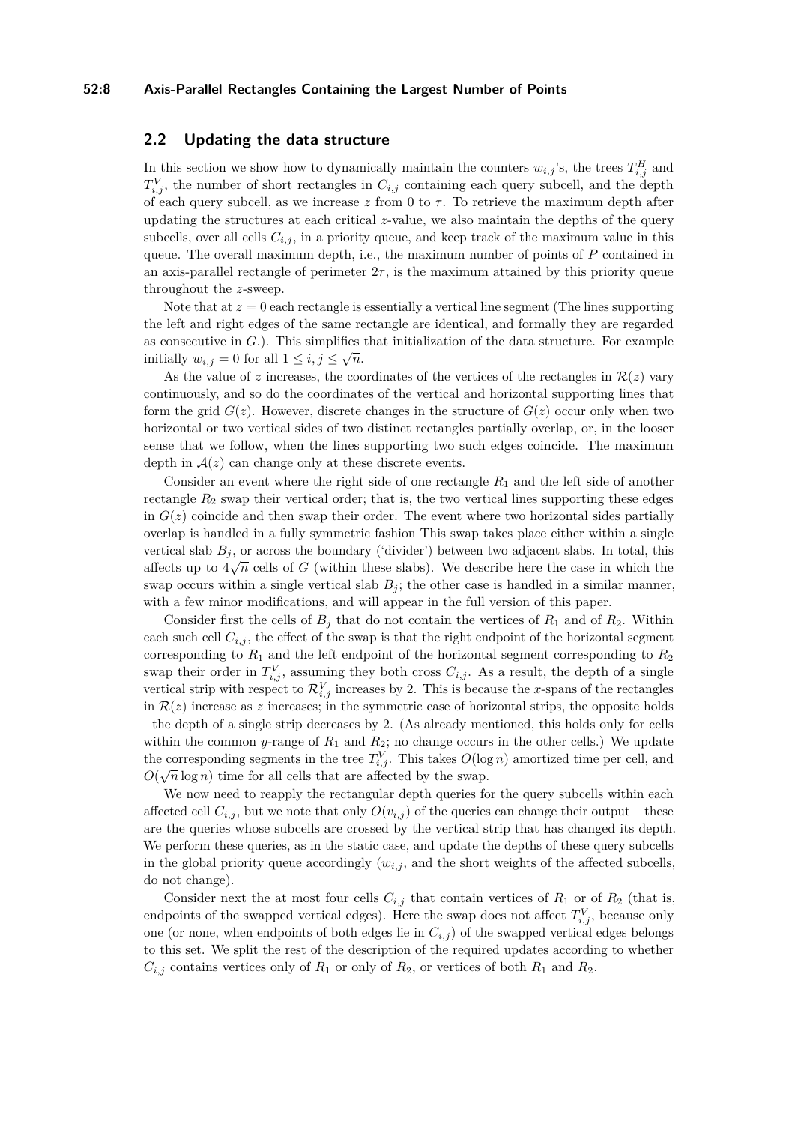### **52:8 Axis-Parallel Rectangles Containing the Largest Number of Points**

# **2.2 Updating the data structure**

In this section we show how to dynamically maintain the counters  $w_{i,j}$ 's, the trees  $T_{i,j}^H$  and  $T_{i,j}^V$ , the number of short rectangles in  $C_{i,j}$  containing each query subcell, and the depth of each query subcell, as we increase  $z$  from 0 to  $\tau$ . To retrieve the maximum depth after updating the structures at each critical *z*-value, we also maintain the depths of the query subcells, over all cells  $C_{i,j}$ , in a priority queue, and keep track of the maximum value in this queue. The overall maximum depth, i.e., the maximum number of points of *P* contained in an axis-parallel rectangle of perimeter  $2\tau$ , is the maximum attained by this priority queue throughout the *z*-sweep.

Note that at  $z = 0$  each rectangle is essentially a vertical line segment (The lines supporting the left and right edges of the same rectangle are identical, and formally they are regarded as consecutive in *G*.). This simplifies that initialization of the data structure. For example initially  $w_{i,j} = 0$  for all  $1 \leq i, j \leq \sqrt{n}$ .

As the value of *z* increases, the coordinates of the vertices of the rectangles in  $\mathcal{R}(z)$  vary continuously, and so do the coordinates of the vertical and horizontal supporting lines that form the grid  $G(z)$ . However, discrete changes in the structure of  $G(z)$  occur only when two horizontal or two vertical sides of two distinct rectangles partially overlap, or, in the looser sense that we follow, when the lines supporting two such edges coincide. The maximum depth in  $A(z)$  can change only at these discrete events.

Consider an event where the right side of one rectangle *R*<sup>1</sup> and the left side of another rectangle  $R_2$  swap their vertical order; that is, the two vertical lines supporting these edges in  $G(z)$  coincide and then swap their order. The event where two horizontal sides partially overlap is handled in a fully symmetric fashion This swap takes place either within a single vertical slab  $B_j$ , or across the boundary ('divider') between two adjacent slabs. In total, this affects up to  $4\sqrt{n}$  cells of *G* (within these slabs). We describe here the case in which the swap occurs within a single vertical slab  $B_j$ ; the other case is handled in a similar manner, with a few minor modifications, and will appear in the full version of this paper.

Consider first the cells of  $B_i$  that do not contain the vertices of  $R_1$  and of  $R_2$ . Within each such cell  $C_{i,j}$ , the effect of the swap is that the right endpoint of the horizontal segment corresponding to  $R_1$  and the left endpoint of the horizontal segment corresponding to  $R_2$ swap their order in  $T_{i,j}^V$ , assuming they both cross  $C_{i,j}$ . As a result, the depth of a single vertical strip with respect to  $\mathcal{R}_{i,j}^V$  increases by 2. This is because the *x*-spans of the rectangles in  $\mathcal{R}(z)$  increase as z increases; in the symmetric case of horizontal strips, the opposite holds – the depth of a single strip decreases by 2. (As already mentioned, this holds only for cells within the common *y*-range of  $R_1$  and  $R_2$ ; no change occurs in the other cells.) We update the corresponding segments in the tree  $T_{i,j}^V$ . This takes  $O(\log n)$  amortized time per cell, and  $O(\sqrt{n}\log n)$  time for all cells that are affected by the swap.

We now need to reapply the rectangular depth queries for the query subcells within each affected cell  $C_{i,j}$ , but we note that only  $O(v_{i,j})$  of the queries can change their output – these are the queries whose subcells are crossed by the vertical strip that has changed its depth. We perform these queries, as in the static case, and update the depths of these query subcells in the global priority queue accordingly  $(w_{i,j}$ , and the short weights of the affected subcells, do not change).

Consider next the at most four cells  $C_{i,j}$  that contain vertices of  $R_1$  or of  $R_2$  (that is, endpoints of the swapped vertical edges). Here the swap does not affect  $T_{i,j}^V$ , because only one (or none, when endpoints of both edges lie in  $C_{i,j}$ ) of the swapped vertical edges belongs to this set. We split the rest of the description of the required updates according to whether  $C_{i,j}$  contains vertices only of  $R_1$  or only of  $R_2$ , or vertices of both  $R_1$  and  $R_2$ .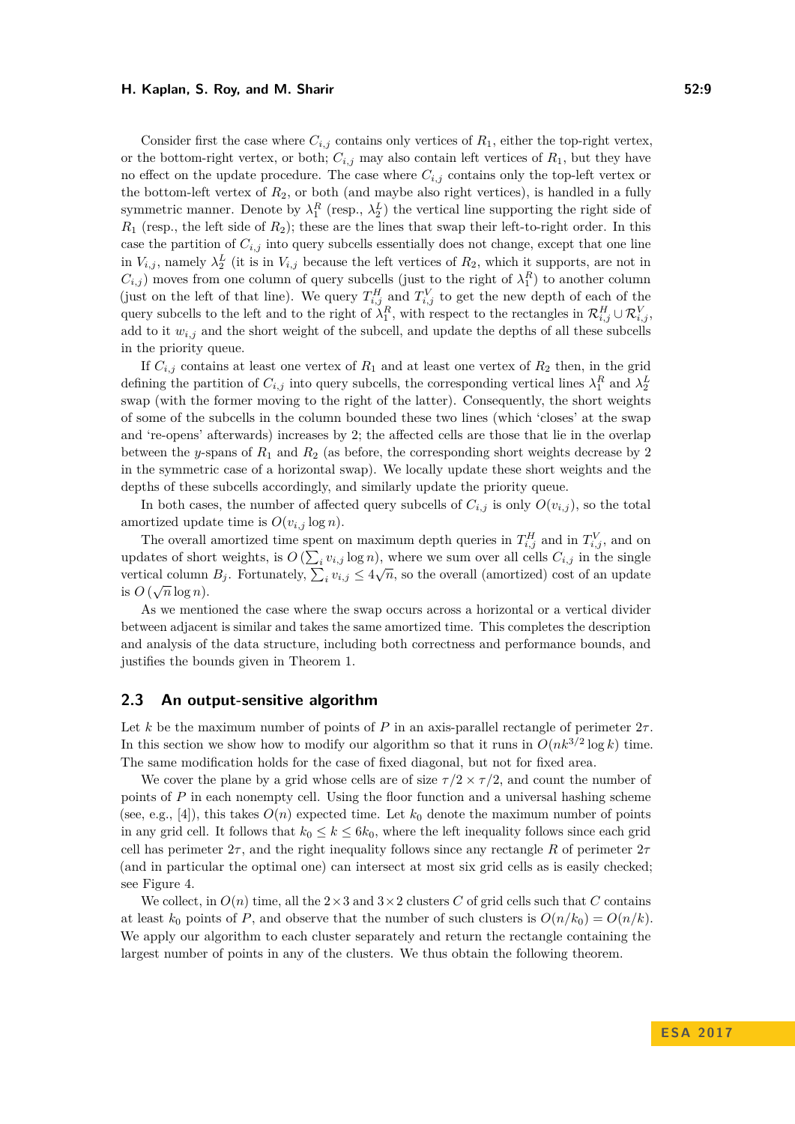Consider first the case where  $C_{i,j}$  contains only vertices of  $R_1$ , either the top-right vertex, or the bottom-right vertex, or both;  $C_{i,j}$  may also contain left vertices of  $R_1$ , but they have no effect on the update procedure. The case where  $C_{i,j}$  contains only the top-left vertex or the bottom-left vertex of *R*2, or both (and maybe also right vertices), is handled in a fully symmetric manner. Denote by  $\lambda_1^R$  (resp.,  $\lambda_2^L$ ) the vertical line supporting the right side of  $R_1$  (resp., the left side of  $R_2$ ); these are the lines that swap their left-to-right order. In this case the partition of  $C_{i,j}$  into query subcells essentially does not change, except that one line in  $V_{i,j}$ , namely  $\lambda_2^L$  (it is in  $V_{i,j}$  because the left vertices of  $R_2$ , which it supports, are not in  $C_{i,j}$  moves from one column of query subcells (just to the right of  $\lambda_1^R$ ) to another column (just on the left of that line). We query  $T_{i,j}^H$  and  $T_{i,j}^V$  to get the new depth of each of the query subcells to the left and to the right of  $\lambda_1^R$ , with respect to the rectangles in  $\mathcal{R}_{i,j}^H \cup \mathcal{R}_{i,j}^V$ , add to it  $w_{i,j}$  and the short weight of the subcell, and update the depths of all these subcells in the priority queue.

If  $C_{i,j}$  contains at least one vertex of  $R_1$  and at least one vertex of  $R_2$  then, in the grid defining the partition of  $C_{i,j}$  into query subcells, the corresponding vertical lines  $\lambda_1^R$  and  $\lambda_2^L$ swap (with the former moving to the right of the latter). Consequently, the short weights of some of the subcells in the column bounded these two lines (which 'closes' at the swap and 're-opens' afterwards) increases by 2; the affected cells are those that lie in the overlap between the *y*-spans of *R*<sup>1</sup> and *R*<sup>2</sup> (as before, the corresponding short weights decrease by 2 in the symmetric case of a horizontal swap). We locally update these short weights and the depths of these subcells accordingly, and similarly update the priority queue.

In both cases, the number of affected query subcells of  $C_{i,j}$  is only  $O(v_{i,j})$ , so the total amortized update time is  $O(v_{i,j} \log n)$ .

The overall amortized time spent on maximum depth queries in  $T_{i,j}^H$  and in  $T_{i,j}^V$ , and on updates of short weights, is  $O\left(\sum_i v_{i,j}\log n\right)$ , where we sum over all cells  $C_{i,j}$  in the single vertical column  $B_j$ . Fortunately,  $\sum_i v_{i,j} \leq 4\sqrt{n}$ , so the overall (amortized) cost of an update is  $O(\sqrt{n}\log n)$ .

As we mentioned the case where the swap occurs across a horizontal or a vertical divider between adjacent is similar and takes the same amortized time. This completes the description and analysis of the data structure, including both correctness and performance bounds, and justifies the bounds given in Theorem [1.](#page-3-0)

### <span id="page-8-0"></span>**2.3 An output-sensitive algorithm**

Let *k* be the maximum number of points of *P* in an axis-parallel rectangle of perimeter  $2\tau$ . In this section we show how to modify our algorithm so that it runs in  $O(nk^{3/2} \log k)$  time. The same modification holds for the case of fixed diagonal, but not for fixed area.

We cover the plane by a grid whose cells are of size  $\tau/2 \times \tau/2$ , and count the number of points of *P* in each nonempty cell. Using the floor function and a universal hashing scheme (see, e.g., [\[4\]](#page-12-9)), this takes  $O(n)$  expected time. Let  $k_0$  denote the maximum number of points in any grid cell. It follows that  $k_0 \leq k \leq 6k_0$ , where the left inequality follows since each grid cell has perimeter  $2\tau$ , and the right inequality follows since any rectangle R of perimeter  $2\tau$ (and in particular the optimal one) can intersect at most six grid cells as is easily checked; see Figure [4.](#page-5-0)

We collect, in  $O(n)$  time, all the  $2 \times 3$  and  $3 \times 2$  clusters *C* of grid cells such that *C* contains at least  $k_0$  points of *P*, and observe that the number of such clusters is  $O(n/k_0) = O(n/k)$ . We apply our algorithm to each cluster separately and return the rectangle containing the largest number of points in any of the clusters. We thus obtain the following theorem.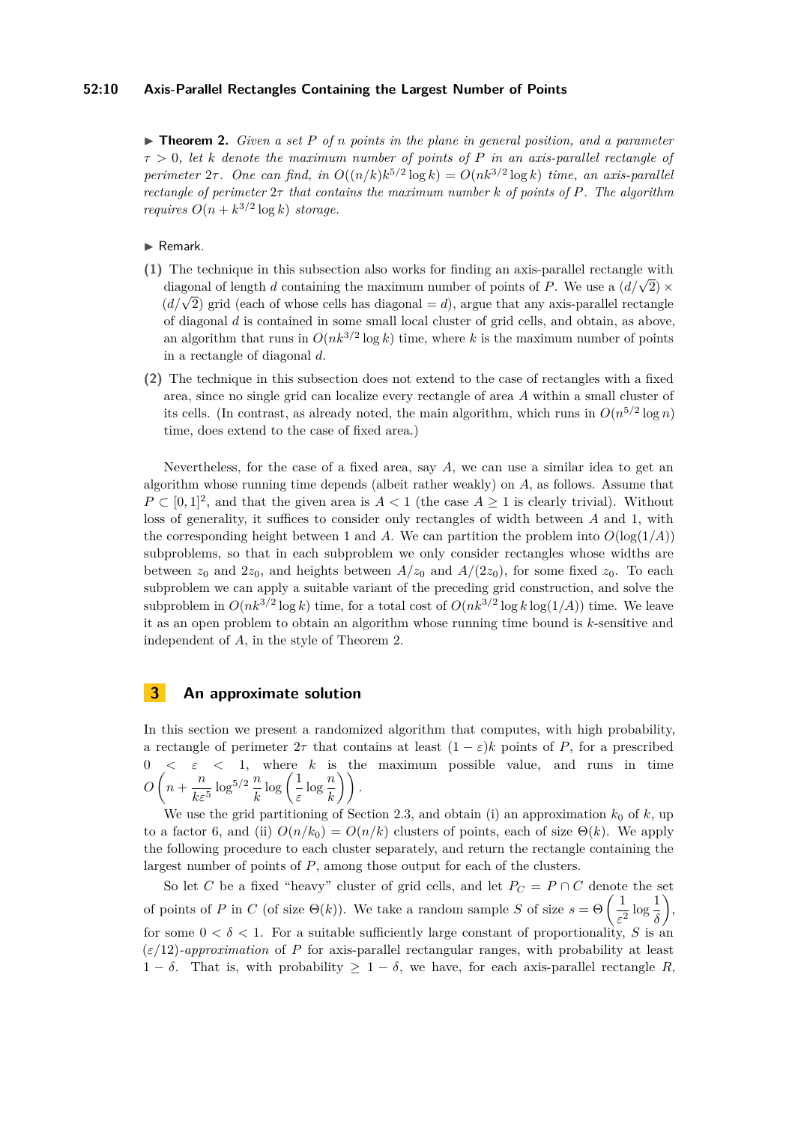### **52:10 Axis-Parallel Rectangles Containing the Largest Number of Points**

<span id="page-9-1"></span>I **Theorem 2.** *Given a set P of n points in the plane in general position, and a parameter τ >* 0*, let k denote the maximum number of points of P in an axis-parallel rectangle of perimeter*  $2\tau$ . One can find, in  $O((n/k)k^{5/2} \log k) = O(nk^{3/2} \log k)$  time, an axis-parallel *rectangle of perimeter* 2*τ that contains the maximum number k of points of P. The algorithm requires*  $O(n + k^{3/2} \log k)$  *storage.* 

### $\blacktriangleright$  Remark.

- **(1)** The technique in this subsection also works for finding an axis-parallel rectangle with The technique in this subsection also works for initially an axis-parametric tangle with<br>diagonal of length *d* containing the maximum number of points of *P*. We use a  $(d/\sqrt{2}) \times$ diagonal of length *d* containing the maximum number of points of *F*. We use a  $(a/\sqrt{2}) \times (d/\sqrt{2})$  grid (each of whose cells has diagonal = *d*), argue that any axis-parallel rectangle of diagonal *d* is contained in some small local cluster of grid cells, and obtain, as above, an algorithm that runs in  $O(nk^{3/2} \log k)$  time, where k is the maximum number of points in a rectangle of diagonal *d*.
- **(2)** The technique in this subsection does not extend to the case of rectangles with a fixed area, since no single grid can localize every rectangle of area *A* within a small cluster of its cells. (In contrast, as already noted, the main algorithm, which runs in  $O(n^{5/2} \log n)$ time, does extend to the case of fixed area.)

Nevertheless, for the case of a fixed area, say *A*, we can use a similar idea to get an algorithm whose running time depends (albeit rather weakly) on *A*, as follows. Assume that  $P \subset [0,1]^2$ , and that the given area is  $A < 1$  (the case  $A \ge 1$  is clearly trivial). Without loss of generality, it suffices to consider only rectangles of width between *A* and 1, with the corresponding height between 1 and *A*. We can partition the problem into  $O(\log(1/A))$ subproblems, so that in each subproblem we only consider rectangles whose widths are between  $z_0$  and  $2z_0$ , and heights between  $A/z_0$  and  $A/(2z_0)$ , for some fixed  $z_0$ . To each subproblem we can apply a suitable variant of the preceding grid construction, and solve the subproblem in  $O(nk^{3/2} \log k)$  time, for a total cost of  $O(nk^{3/2} \log k \log(1/A))$  time. We leave it as an open problem to obtain an algorithm whose running time bound is *k*-sensitive and independent of *A*, in the style of Theorem [2.](#page-9-1)

# <span id="page-9-0"></span>**3 An approximate solution**

In this section we present a randomized algorithm that computes, with high probability, a rectangle of perimeter  $2\tau$  that contains at least  $(1 - \varepsilon)k$  points of *P*, for a prescribed  $0 < \varepsilon < 1$ , where *k* is the maximum possible value, and runs in time  $O\left(n+\frac{n}{l}\right)$  $\frac{n}{k\varepsilon^5}\log^{5/2}\frac{n}{k}\log\left(\frac{1}{\varepsilon}\right)$  $\frac{1}{\varepsilon} \log \frac{n}{k}$ ).

We use the grid partitioning of Section [2.3,](#page-8-0) and obtain (i) an approximation  $k_0$  of  $k$ , up to a factor 6, and (ii)  $O(n/k_0) = O(n/k)$  clusters of points, each of size  $\Theta(k)$ . We apply the following procedure to each cluster separately, and return the rectangle containing the largest number of points of *P*, among those output for each of the clusters.

So let *C* be a fixed "heavy" cluster of grid cells, and let  $P_C = P \cap C$  denote the set of points of *P* in *C* (of size  $\Theta(k)$ ). We take a random sample *S* of size  $s = \Theta\left(\frac{1}{s}\right)$  $\frac{1}{\varepsilon^2} \log \frac{1}{\delta}$  $\big),$ for some  $0 < \delta < 1$ . For a suitable sufficiently large constant of proportionality, *S* is an  $(\varepsilon/12)$ *-approximation* of *P* for axis-parallel rectangular ranges, with probability at least 1 − *δ*. That is, with probability  $\geq 1 - \delta$ , we have, for each axis-parallel rectangle *R*,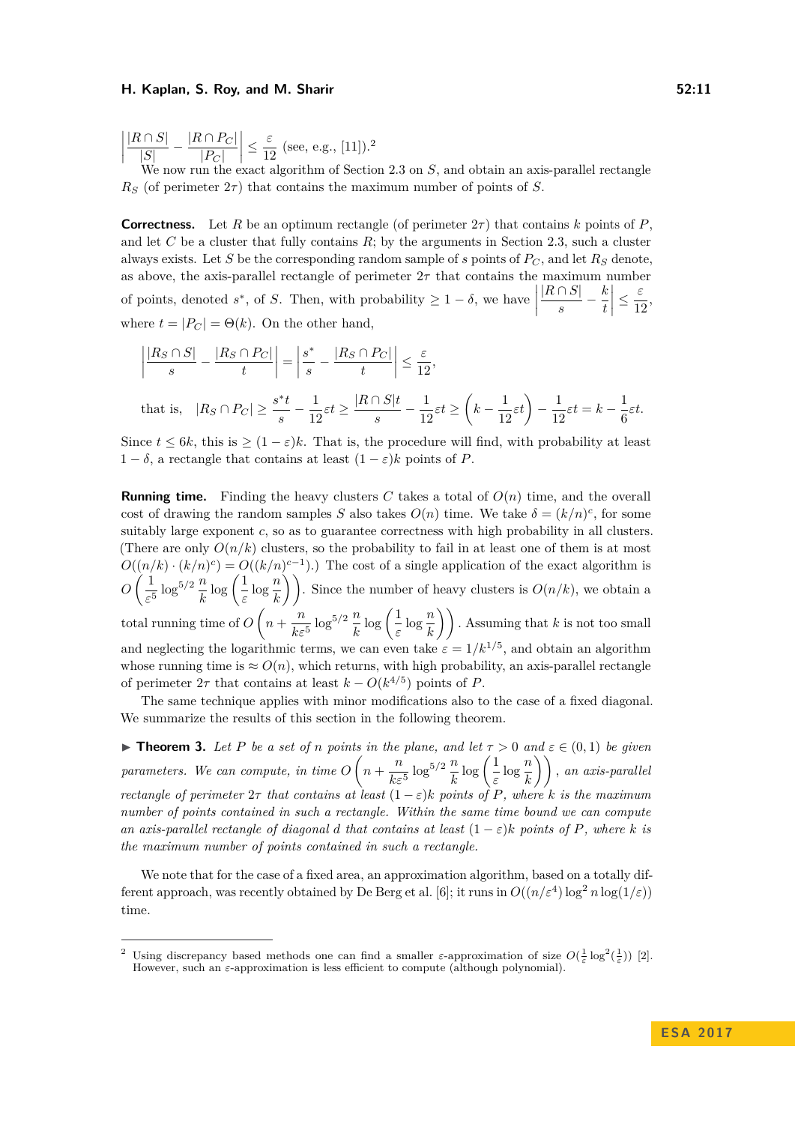$\begin{array}{c} \begin{array}{c} \begin{array}{c} \end{array} \\ \begin{array}{c} \end{array} \end{array} \end{array}$ |*R* ∩ *S*|  $\frac{|R \cap P_C|}{|S|} - \frac{|R \cap P_C|}{|P_C|}$  $|P_C|$  $\begin{array}{c} \begin{array}{c} \begin{array}{c} \end{array} \\ \begin{array}{c} \end{array} \end{array} \end{array}$ ≤ *ε*  $\frac{c}{12}$  $\frac{c}{12}$  $\frac{c}{12}$  (see, e.g., [\[11\]](#page-12-10)).<sup>2</sup>

now run the exact algorithm of Section [2.3](#page-8-0) on *S*, and obtain an axis-parallel rectangle  $R<sub>S</sub>$  (of perimeter  $2\tau$ ) that contains the maximum number of points of *S*.

**Correctness.** Let *R* be an optimum rectangle (of perimeter  $2\tau$ ) that contains *k* points of *P*. and let  $C$  be a cluster that fully contains  $R$ ; by the arguments in Section [2.3,](#page-8-0) such a cluster always exists. Let *S* be the corresponding random sample of *s* points of  $P_C$ , and let  $R_S$  denote, as above, the axis-parallel rectangle of perimeter  $2\tau$  that contains the maximum number of points, denoted  $s^*$ , of *S*. Then, with probability  $\geq 1 - \delta$ , we have |*R* ∩ *S*|  $rac{\cap S|}{s} - \frac{k}{t}$ *t*  $\begin{array}{c} \hline \end{array}$ ≤ *ε*  $\frac{6}{12}$ where  $t = |P_C| = \Theta(k)$ . On the other hand,

$$
\left|\frac{|R_S \cap S|}{s} - \frac{|R_S \cap P_C|}{t}\right| = \left|\frac{s^*}{s} - \frac{|R_S \cap P_C|}{t}\right| \le \frac{\varepsilon}{12},
$$

$$
\text{that is,} \quad |R_S \cap P_C| \geq \frac{s^*t}{s} - \frac{1}{12}\varepsilon t \geq \frac{|R \cap S|t}{s} - \frac{1}{12}\varepsilon t \geq \left(k - \frac{1}{12}\varepsilon t\right) - \frac{1}{12}\varepsilon t = k - \frac{1}{6}\varepsilon t.
$$

Since  $t \leq 6k$ , this is  $\geq (1 - \varepsilon)k$ . That is, the procedure will find, with probability at least 1 −  $\delta$ , a rectangle that contains at least  $(1 - \varepsilon)k$  points of *P*.

**Running time.** Finding the heavy clusters C takes a total of  $O(n)$  time, and the overall cost of drawing the random samples *S* also takes  $O(n)$  time. We take  $\delta = (k/n)^c$ , for some suitably large exponent *c*, so as to guarantee correctness with high probability in all clusters. (There are only  $O(n/k)$  clusters, so the probability to fail in at least one of them is at most  $O((n/k) \cdot (k/n)^c) = O((k/n)^{c-1})$ .) The cost of a single application of the exact algorithm is  $O\left(\frac{1}{\epsilon}\right)$  $\frac{1}{\varepsilon^5} \log^{5/2} \frac{n}{k} \log \left( \frac{1}{\varepsilon} \right)$  $\left(\frac{1}{\varepsilon}\log\frac{n}{k}\right)\right)$ . Since the number of heavy clusters is  $O(n/k)$ , we obtain a total running time of  $O\left(n+\frac{n}{l}\right)$  $\frac{n}{k\varepsilon^5} \log^{5/2} \frac{n}{k} \log \left( \frac{1}{\varepsilon} \right)$  $\left(\frac{1}{\varepsilon}\log\frac{n}{k}\right)\right)$ . Assuming that *k* is not too small and neglecting the logarithmic terms, we can even take  $\varepsilon = 1/k^{1/5}$ , and obtain an algorithm whose running time is  $\approx O(n)$ , which returns, with high probability, an axis-parallel rectangle of perimeter  $2\tau$  that contains at least  $k - O(k^{4/5})$  points of *P*.

The same technique applies with minor modifications also to the case of a fixed diagonal. We summarize the results of this section in the following theorem.

<span id="page-10-0"></span>**Find 1.** *Let P be a set of n points in the plane, and let*  $\tau > 0$  *and*  $\varepsilon \in (0,1)$  *be given parameters.* We can compute, in time  $O\left(n+\frac{n}{h}\right)$  $\frac{n}{k\varepsilon^5}\log^{5/2}\frac{n}{k}\log\left(\frac{1}{\varepsilon}\right)$  $\left(\frac{1}{\varepsilon}\log\frac{n}{k}\right)\right)$ , an axis-parallel *rectangle of perimeter*  $2\tau$  *that contains at least*  $(1 - \varepsilon)k$  *points of P, where k is the maximum number of points contained in such a rectangle. Within the same time bound we can compute an axis-parallel rectangle of diagonal <i>d* that contains at least  $(1 - \varepsilon)k$  points of P, where *k* is *the maximum number of points contained in such a rectangle.*

We note that for the case of a fixed area, an approximation algorithm, based on a totally dif-ferent approach, was recently obtained by De Berg et al. [\[6\]](#page-12-5); it runs in  $O((n/\varepsilon^4) \log^2 n \log(1/\varepsilon))$ time.

<span id="page-10-1"></span><sup>&</sup>lt;sup>2</sup> Using discrepancy based methods one can find a smaller *ε*-approximation of size  $O(\frac{1}{\varepsilon} \log^2(\frac{1}{\varepsilon}))$  [\[2\]](#page-12-11). However, such an *ε*-approximation is less efficient to compute (although polynomial).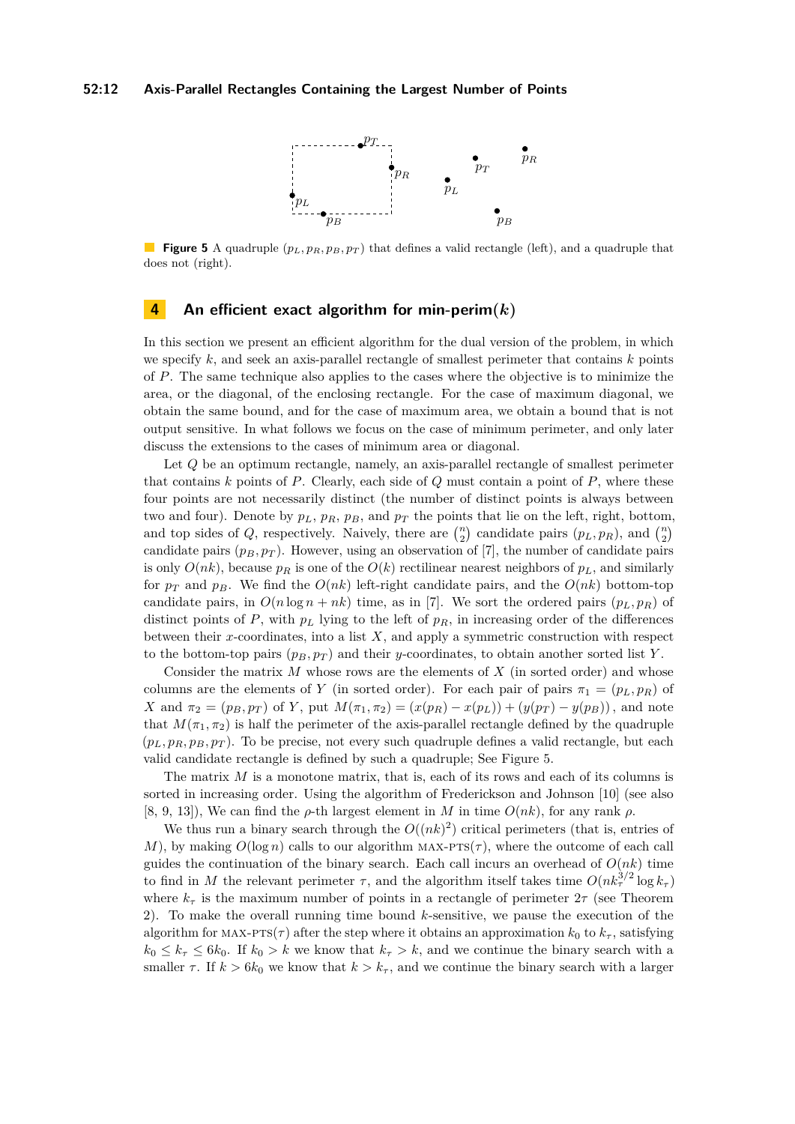

<span id="page-11-0"></span>**Figure 5** A quadruple (*pL, pR, pB, p<sup>T</sup>* ) that defines a valid rectangle (left), and a quadruple that does not (right).

# **4 An efficient exact algorithm for min-perim(***k***)**

In this section we present an efficient algorithm for the dual version of the problem, in which we specify  $k$ , and seek an axis-parallel rectangle of smallest perimeter that contains  $k$  points of *P*. The same technique also applies to the cases where the objective is to minimize the area, or the diagonal, of the enclosing rectangle. For the case of maximum diagonal, we obtain the same bound, and for the case of maximum area, we obtain a bound that is not output sensitive. In what follows we focus on the case of minimum perimeter, and only later discuss the extensions to the cases of minimum area or diagonal.

Let *Q* be an optimum rectangle, namely, an axis-parallel rectangle of smallest perimeter that contains *k* points of *P*. Clearly, each side of *Q* must contain a point of *P*, where these four points are not necessarily distinct (the number of distinct points is always between two and four). Denote by  $p_L$ ,  $p_R$ ,  $p_B$ , and  $p_T$  the points that lie on the left, right, bottom, and top sides of *Q*, respectively. Naively, there are  $\binom{n}{2}$  candidate pairs  $(p_L, p_R)$ , and  $\binom{n}{2}$ candidate pairs  $(p_B, p_T)$ . However, using an observation of [\[7\]](#page-12-2), the number of candidate pairs is only  $O(nk)$ , because  $p<sub>R</sub>$  is one of the  $O(k)$  rectilinear nearest neighbors of  $p<sub>L</sub>$ , and similarly for  $p_T$  and  $p_B$ . We find the  $O(nk)$  left-right candidate pairs, and the  $O(nk)$  bottom-top candidate pairs, in  $O(n \log n + nk)$  time, as in [\[7\]](#page-12-2). We sort the ordered pairs  $(p_L, p_R)$  of distinct points of  $P$ , with  $p_L$  lying to the left of  $p_R$ , in increasing order of the differences between their *x*-coordinates, into a list *X*, and apply a symmetric construction with respect to the bottom-top pairs  $(p_B, p_T)$  and their *y*-coordinates, to obtain another sorted list *Y*.

Consider the matrix *M* whose rows are the elements of *X* (in sorted order) and whose columns are the elements of *Y* (in sorted order). For each pair of pairs  $\pi_1 = (p_L, p_R)$  of X and  $\pi_2 = (p_B, p_T)$  of Y, put  $M(\pi_1, \pi_2) = (x(p_R) - x(p_L)) + (y(p_T) - y(p_B))$ , and note that  $M(\pi_1, \pi_2)$  is half the perimeter of the axis-parallel rectangle defined by the quadruple  $(p_L, p_R, p_B, p_T)$ . To be precise, not every such quadruple defines a valid rectangle, but each valid candidate rectangle is defined by such a quadruple; See Figure [5.](#page-11-0)

The matrix *M* is a monotone matrix, that is, each of its rows and each of its columns is sorted in increasing order. Using the algorithm of Frederickson and Johnson [\[10\]](#page-12-12) (see also [\[8,](#page-12-13) [9,](#page-12-14) [13\]](#page-12-15)), We can find the  $\rho$ -th largest element in *M* in time  $O(nk)$ , for any rank  $\rho$ .

We thus run a binary search through the  $O((nk)^2)$  critical perimeters (that is, entries of *M*), by making  $O(\log n)$  calls to our algorithm MAX-PTS( $\tau$ ), where the outcome of each call guides the continuation of the binary search. Each call incurs an overhead of  $O(nk)$  time to find in *M* the relevant perimeter  $\tau$ , and the algorithm itself takes time  $O(nk_{\tau}^{3/2} \log k_{\tau})$ where  $k_{\tau}$  is the maximum number of points in a rectangle of perimeter  $2\tau$  (see Theorem [2\)](#page-9-1). To make the overall running time bound *k*-sensitive, we pause the execution of the algorithm for MAX-PTS( $\tau$ ) after the step where it obtains an approximation  $k_0$  to  $k_{\tau}$ , satisfying  $k_0 \leq k_{\tau} \leq 6k_0$ . If  $k_0 > k$  we know that  $k_{\tau} > k$ , and we continue the binary search with a smaller  $\tau$ . If  $k > 6k_0$  we know that  $k > k_{\tau}$ , and we continue the binary search with a larger